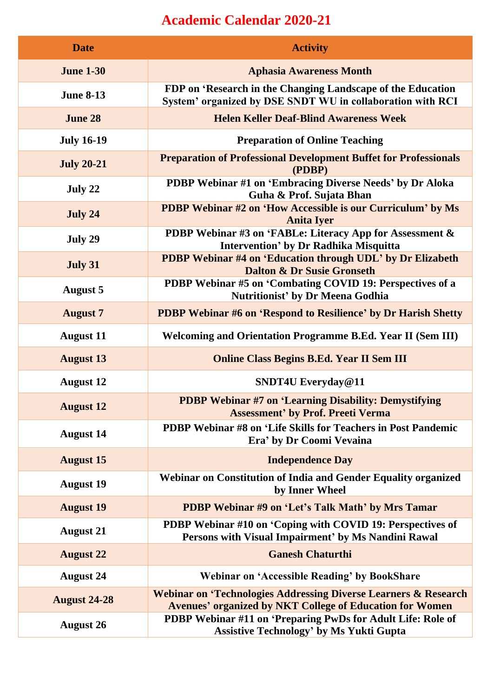## **Academic Calendar 2020-21**

| <b>Date</b>         | <b>Activity</b>                                                                                                                               |
|---------------------|-----------------------------------------------------------------------------------------------------------------------------------------------|
| <b>June 1-30</b>    | <b>Aphasia Awareness Month</b>                                                                                                                |
| <b>June 8-13</b>    | FDP on 'Research in the Changing Landscape of the Education<br>System' organized by DSE SNDT WU in collaboration with RCI                     |
| <b>June 28</b>      | <b>Helen Keller Deaf-Blind Awareness Week</b>                                                                                                 |
| <b>July 16-19</b>   | <b>Preparation of Online Teaching</b>                                                                                                         |
| <b>July 20-21</b>   | <b>Preparation of Professional Development Buffet for Professionals</b><br>(PDBP)                                                             |
| July 22             | PDBP Webinar #1 on 'Embracing Diverse Needs' by Dr Aloka<br>Guha & Prof. Sujata Bhan                                                          |
| July 24             | <b>PDBP Webinar #2 on 'How Accessible is our Curriculum' by Ms</b><br><b>Anita Iyer</b>                                                       |
| July 29             | PDBP Webinar #3 on 'FABLe: Literacy App for Assessment &<br><b>Intervention' by Dr Radhika Misquitta</b>                                      |
| July 31             | <b>PDBP Webinar #4 on 'Education through UDL' by Dr Elizabeth</b><br><b>Dalton &amp; Dr Susie Gronseth</b>                                    |
| <b>August 5</b>     | PDBP Webinar #5 on 'Combating COVID 19: Perspectives of a<br>Nutritionist' by Dr Meena Godhia                                                 |
| <b>August 7</b>     | <b>PDBP Webinar #6 on 'Respond to Resilience' by Dr Harish Shetty</b>                                                                         |
| <b>August 11</b>    | <b>Welcoming and Orientation Programme B.Ed. Year II (Sem III)</b>                                                                            |
| <b>August 13</b>    | <b>Online Class Begins B.Ed. Year II Sem III</b>                                                                                              |
| <b>August 12</b>    | SNDT4U Everyday@11                                                                                                                            |
| <b>August 12</b>    | <b>PDBP Webinar #7 on 'Learning Disability: Demystifying</b><br><b>Assessment' by Prof. Preeti Verma</b>                                      |
| <b>August 14</b>    | PDBP Webinar #8 on 'Life Skills for Teachers in Post Pandemic<br>Era' by Dr Coomi Vevaina                                                     |
| <b>August 15</b>    | <b>Independence Day</b>                                                                                                                       |
| <b>August 19</b>    | Webinar on Constitution of India and Gender Equality organized<br>by Inner Wheel                                                              |
| <b>August 19</b>    | PDBP Webinar #9 on 'Let's Talk Math' by Mrs Tamar                                                                                             |
| <b>August 21</b>    | PDBP Webinar #10 on 'Coping with COVID 19: Perspectives of<br>Persons with Visual Impairment' by Ms Nandini Rawal                             |
| <b>August 22</b>    | <b>Ganesh Chaturthi</b>                                                                                                                       |
| <b>August 24</b>    | <b>Webinar on 'Accessible Reading' by BookShare</b>                                                                                           |
| <b>August 24-28</b> | <b>Webinar on 'Technologies Addressing Diverse Learners &amp; Research</b><br><b>Avenues' organized by NKT College of Education for Women</b> |
| <b>August 26</b>    | PDBP Webinar #11 on 'Preparing PwDs for Adult Life: Role of<br><b>Assistive Technology' by Ms Yukti Gupta</b>                                 |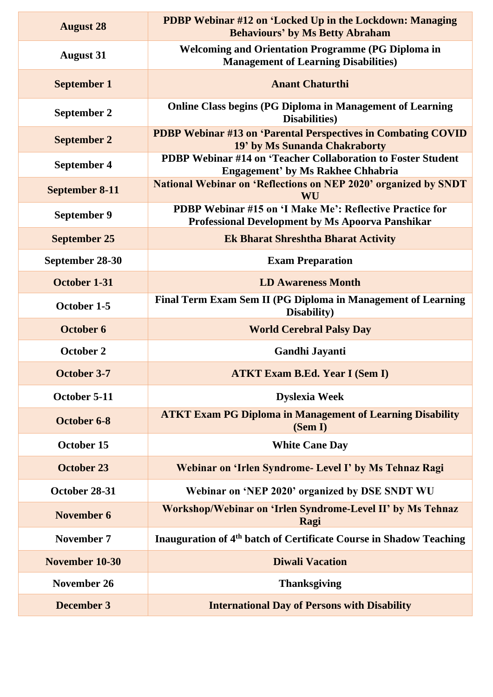| <b>August 28</b>      | PDBP Webinar #12 on 'Locked Up in the Lockdown: Managing<br><b>Behaviours' by Ms Betty Abraham</b>                         |
|-----------------------|----------------------------------------------------------------------------------------------------------------------------|
| <b>August 31</b>      | <b>Welcoming and Orientation Programme (PG Diploma in</b><br><b>Management of Learning Disabilities)</b>                   |
| <b>September 1</b>    | <b>Anant Chaturthi</b>                                                                                                     |
| September 2           | <b>Online Class begins (PG Diploma in Management of Learning</b><br><b>Disabilities</b> )                                  |
| <b>September 2</b>    | PDBP Webinar #13 on 'Parental Perspectives in Combating COVID<br>19' by Ms Sunanda Chakraborty                             |
| September 4           | PDBP Webinar #14 on 'Teacher Collaboration to Foster Student<br><b>Engagement' by Ms Rakhee Chhabria</b>                   |
| <b>September 8-11</b> | <b>National Webinar on 'Reflections on NEP 2020' organized by SNDT</b><br>WU                                               |
| <b>September 9</b>    | <b>PDBP Webinar #15 on 'I Make Me': Reflective Practice for</b><br><b>Professional Development by Ms Apoorva Panshikar</b> |
| <b>September 25</b>   | <b>Ek Bharat Shreshtha Bharat Activity</b>                                                                                 |
| September 28-30       | <b>Exam Preparation</b>                                                                                                    |
| October 1-31          | <b>LD Awareness Month</b>                                                                                                  |
| October 1-5           | Final Term Exam Sem II (PG Diploma in Management of Learning<br>Disability)                                                |
| <b>October 6</b>      | <b>World Cerebral Palsy Day</b>                                                                                            |
| <b>October 2</b>      | <b>Gandhi Jayanti</b>                                                                                                      |
| October 3-7           | <b>ATKT Exam B.Ed. Year I (Sem I)</b>                                                                                      |
| October 5-11          | <b>Dyslexia Week</b>                                                                                                       |
| October 6-8           | <b>ATKT Exam PG Diploma in Management of Learning Disability</b><br>(Sem I)                                                |
| <b>October 15</b>     | <b>White Cane Day</b>                                                                                                      |
| <b>October 23</b>     | Webinar on 'Irlen Syndrome- Level I' by Ms Tehnaz Ragi                                                                     |
| October 28-31         | Webinar on 'NEP 2020' organized by DSE SNDT WU                                                                             |
| November 6            | Workshop/Webinar on 'Irlen Syndrome-Level II' by Ms Tehnaz<br>Ragi                                                         |
| <b>November 7</b>     | Inauguration of 4 <sup>th</sup> batch of Certificate Course in Shadow Teaching                                             |
| November 10-30        | <b>Diwali Vacation</b>                                                                                                     |
| November 26           | <b>Thanksgiving</b>                                                                                                        |
| <b>December 3</b>     | <b>International Day of Persons with Disability</b>                                                                        |